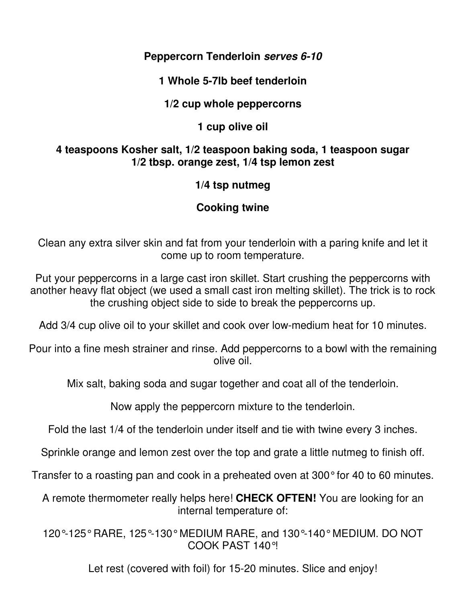#### **Peppercorn Tenderloin serves 6-10**

#### **1 Whole 5-7lb beef tenderloin**

### **1/2 cup whole peppercorns**

### **1 cup olive oil**

#### **4 teaspoons Kosher salt, 1/2 teaspoon baking soda, 1 teaspoon sugar 1/2 tbsp. orange zest, 1/4 tsp lemon zest**

### **1/4 tsp nutmeg**

# **Cooking twine**

Clean any extra silver skin and fat from your tenderloin with a paring knife and let it come up to room temperature.

Put your peppercorns in a large cast iron skillet. Start crushing the peppercorns with another heavy flat object (we used a small cast iron melting skillet). The trick is to rock the crushing object side to side to break the peppercorns up.

Add 3/4 cup olive oil to your skillet and cook over low-medium heat for 10 minutes.

Pour into a fine mesh strainer and rinse. Add peppercorns to a bowl with the remaining olive oil.

Mix salt, baking soda and sugar together and coat all of the tenderloin.

Now apply the peppercorn mixture to the tenderloin.

Fold the last 1/4 of the tenderloin under itself and tie with twine every 3 inches.

Sprinkle orange and lemon zest over the top and grate a little nutmeg to finish off.

Transfer to a roasting pan and cook in a preheated oven at 300° for 40 to 60 minutes.

A remote thermometer really helps here! **CHECK OFTEN!** You are looking for an internal temperature of:

120°-125° RARE, 125°-130° MEDIUM RARE, and 130°-140° MEDIUM. DO NOT COOK PAST 140°!

Let rest (covered with foil) for 15-20 minutes. Slice and enjoy!